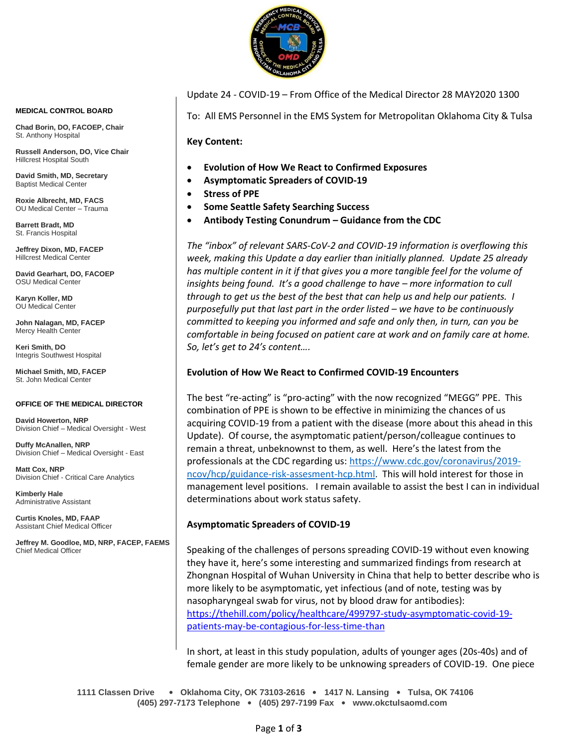

**MEDICAL CONTROL BOARD**

**Chad Borin, DO, FACOEP, Chair**  St. Anthony Hospital

**Russell Anderson, DO, Vice Chair** Hillcrest Hospital South

**David Smith, MD, Secretary** Baptist Medical Center

**Roxie Albrecht, MD, FACS** OU Medical Center – Trauma

**Barrett Bradt, MD** St. Francis Hospital

**Jeffrey Dixon, MD, FACEP** Hillcrest Medical Center

**David Gearhart, DO, FACOEP** OSU Medical Center

**Karyn Koller, MD** OU Medical Center

**John Nalagan, MD, FACEP** Mercy Health Center

**Keri Smith, DO** Integris Southwest Hospital

**Michael Smith, MD, FACEP** St. John Medical Center

#### **OFFICE OF THE MEDICAL DIRECTOR**

**David Howerton, NRP** Division Chief – Medical Oversight - West

**Duffy McAnallen, NRP** Division Chief – Medical Oversight - East

**Matt Cox, NRP** Division Chief - Critical Care Analytics

**Kimberly Hale** Administrative Assistant

**Curtis Knoles, MD, FAAP** Assistant Chief Medical Officer

**Jeffrey M. Goodloe, MD, NRP, FACEP, FAEMS** Chief Medical Officer

Update 24 - COVID-19 – From Office of the Medical Director 28 MAY2020 1300

To: All EMS Personnel in the EMS System for Metropolitan Oklahoma City & Tulsa

**Key Content:**

- **Evolution of How We React to Confirmed Exposures**
- **Asymptomatic Spreaders of COVID-19**
- **Stress of PPE**
- **Some Seattle Safety Searching Success**
- **Antibody Testing Conundrum – Guidance from the CDC**

*The "inbox" of relevant SARS-CoV-2 and COVID-19 information is overflowing this week, making this Update a day earlier than initially planned. Update 25 already has multiple content in it if that gives you a more tangible feel for the volume of insights being found. It's a good challenge to have – more information to cull through to get us the best of the best that can help us and help our patients. I purposefully put that last part in the order listed – we have to be continuously committed to keeping you informed and safe and only then, in turn, can you be comfortable in being focused on patient care at work and on family care at home. So, let's get to 24's content….*

### **Evolution of How We React to Confirmed COVID-19 Encounters**

The best "re-acting" is "pro-acting" with the now recognized "MEGG" PPE. This combination of PPE is shown to be effective in minimizing the chances of us acquiring COVID-19 from a patient with the disease (more about this ahead in this Update). Of course, the asymptomatic patient/person/colleague continues to remain a threat, unbeknownst to them, as well. Here's the latest from the professionals at the CDC regarding us: [https://www.cdc.gov/coronavirus/2019](https://www.cdc.gov/coronavirus/2019-ncov/hcp/guidance-risk-assesment-hcp.html) [ncov/hcp/guidance-risk-assesment-hcp.html.](https://www.cdc.gov/coronavirus/2019-ncov/hcp/guidance-risk-assesment-hcp.html) This will hold interest for those in management level positions. I remain available to assist the best I can in individual determinations about work status safety.

## **Asymptomatic Spreaders of COVID-19**

Speaking of the challenges of persons spreading COVID-19 without even knowing they have it, here's some interesting and summarized findings from research at Zhongnan Hospital of Wuhan University in China that help to better describe who is more likely to be asymptomatic, yet infectious (and of note, testing was by nasopharyngeal swab for virus, not by blood draw for antibodies): [https://thehill.com/policy/healthcare/499797-study-asymptomatic-covid-19](https://thehill.com/policy/healthcare/499797-study-asymptomatic-covid-19-patients-may-be-contagious-for-less-time-than) [patients-may-be-contagious-for-less-time-than](https://thehill.com/policy/healthcare/499797-study-asymptomatic-covid-19-patients-may-be-contagious-for-less-time-than)

In short, at least in this study population, adults of younger ages (20s-40s) and of female gender are more likely to be unknowing spreaders of COVID-19. One piece

**1111 Classen Drive** • **Oklahoma City, OK 73103-2616** • **1417 N. Lansing** • **Tulsa, OK 74106 (405) 297-7173 Telephone** • **(405) 297-7199 Fax** • **www.okctulsaomd.com**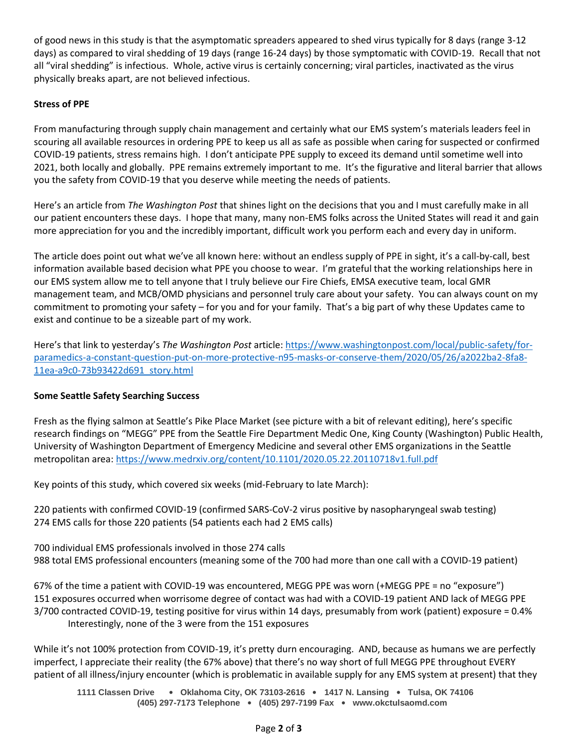of good news in this study is that the asymptomatic spreaders appeared to shed virus typically for 8 days (range 3-12 days) as compared to viral shedding of 19 days (range 16-24 days) by those symptomatic with COVID-19. Recall that not all "viral shedding" is infectious. Whole, active virus is certainly concerning; viral particles, inactivated as the virus physically breaks apart, are not believed infectious.

# **Stress of PPE**

From manufacturing through supply chain management and certainly what our EMS system's materials leaders feel in scouring all available resources in ordering PPE to keep us all as safe as possible when caring for suspected or confirmed COVID-19 patients, stress remains high. I don't anticipate PPE supply to exceed its demand until sometime well into 2021, both locally and globally. PPE remains extremely important to me. It's the figurative and literal barrier that allows you the safety from COVID-19 that you deserve while meeting the needs of patients.

Here's an article from *The Washington Post* that shines light on the decisions that you and I must carefully make in all our patient encounters these days. I hope that many, many non-EMS folks across the United States will read it and gain more appreciation for you and the incredibly important, difficult work you perform each and every day in uniform.

The article does point out what we've all known here: without an endless supply of PPE in sight, it's a call-by-call, best information available based decision what PPE you choose to wear. I'm grateful that the working relationships here in our EMS system allow me to tell anyone that I truly believe our Fire Chiefs, EMSA executive team, local GMR management team, and MCB/OMD physicians and personnel truly care about your safety. You can always count on my commitment to promoting your safety – for you and for your family. That's a big part of why these Updates came to exist and continue to be a sizeable part of my work.

Here's that link to yesterday's *The Washington Post* article: [https://www.washingtonpost.com/local/public-safety/for](https://www.washingtonpost.com/local/public-safety/for-paramedics-a-constant-question-put-on-more-protective-n95-masks-or-conserve-them/2020/05/26/a2022ba2-8fa8-11ea-a9c0-73b93422d691_story.html)[paramedics-a-constant-question-put-on-more-protective-n95-masks-or-conserve-them/2020/05/26/a2022ba2-8fa8-](https://www.washingtonpost.com/local/public-safety/for-paramedics-a-constant-question-put-on-more-protective-n95-masks-or-conserve-them/2020/05/26/a2022ba2-8fa8-11ea-a9c0-73b93422d691_story.html) [11ea-a9c0-73b93422d691\\_story.html](https://www.washingtonpost.com/local/public-safety/for-paramedics-a-constant-question-put-on-more-protective-n95-masks-or-conserve-them/2020/05/26/a2022ba2-8fa8-11ea-a9c0-73b93422d691_story.html)

# **Some Seattle Safety Searching Success**

Fresh as the flying salmon at Seattle's Pike Place Market (see picture with a bit of relevant editing), here's specific research findings on "MEGG" PPE from the Seattle Fire Department Medic One, King County (Washington) Public Health, University of Washington Department of Emergency Medicine and several other EMS organizations in the Seattle metropolitan area[: https://www.medrxiv.org/content/10.1101/2020.05.22.20110718v1.full.pdf](https://www.medrxiv.org/content/10.1101/2020.05.22.20110718v1.full.pdf)

Key points of this study, which covered six weeks (mid-February to late March):

220 patients with confirmed COVID-19 (confirmed SARS-CoV-2 virus positive by nasopharyngeal swab testing) 274 EMS calls for those 220 patients (54 patients each had 2 EMS calls)

700 individual EMS professionals involved in those 274 calls 988 total EMS professional encounters (meaning some of the 700 had more than one call with a COVID-19 patient)

67% of the time a patient with COVID-19 was encountered, MEGG PPE was worn (+MEGG PPE = no "exposure") 151 exposures occurred when worrisome degree of contact was had with a COVID-19 patient AND lack of MEGG PPE 3/700 contracted COVID-19, testing positive for virus within 14 days, presumably from work (patient) exposure = 0.4% Interestingly, none of the 3 were from the 151 exposures

While it's not 100% protection from COVID-19, it's pretty durn encouraging. AND, because as humans we are perfectly imperfect, I appreciate their reality (the 67% above) that there's no way short of full MEGG PPE throughout EVERY patient of all illness/injury encounter (which is problematic in available supply for any EMS system at present) that they

**1111 Classen Drive** • **Oklahoma City, OK 73103-2616** • **1417 N. Lansing** • **Tulsa, OK 74106 (405) 297-7173 Telephone** • **(405) 297-7199 Fax** • **www.okctulsaomd.com**